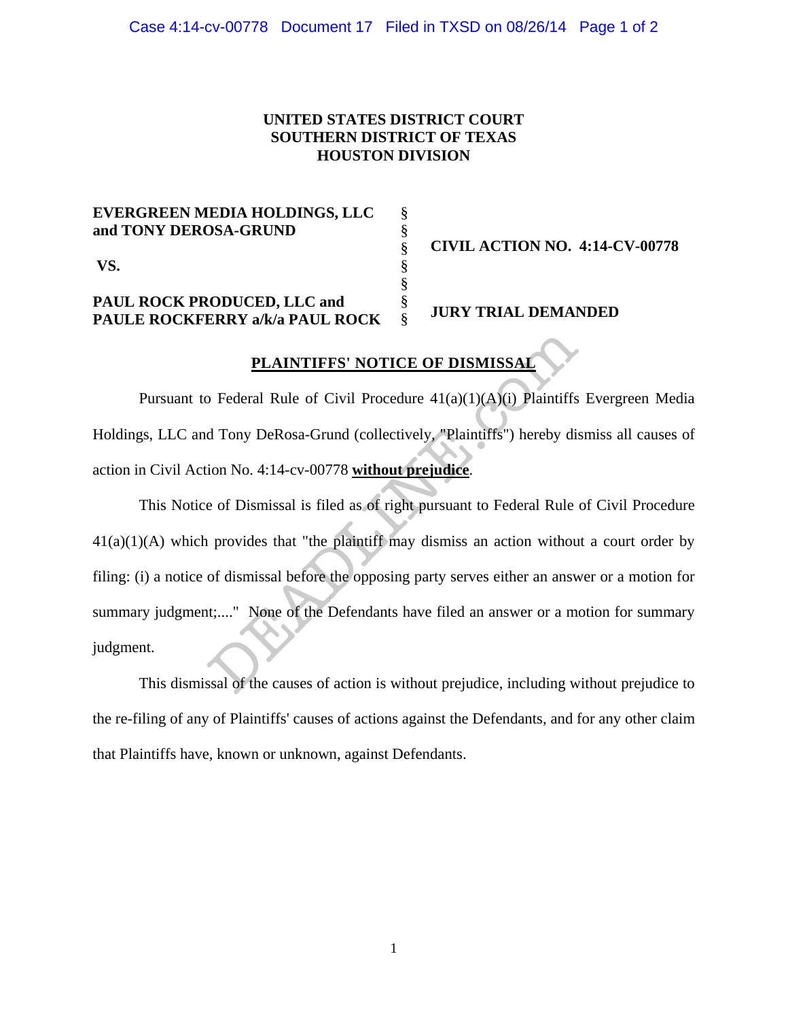### **UNITED STATES DISTRICT COURT SOUTHERN DISTRICT OF TEXAS HOUSTON DIVISION**

| <b>EVERGREEN MEDIA HOLDINGS, LLC</b>   |                                       |
|----------------------------------------|---------------------------------------|
| and TONY DEROSA-GRUND                  |                                       |
|                                        | <b>CIVIL ACTION NO. 4:14-CV-00778</b> |
| VS.                                    |                                       |
|                                        |                                       |
| <b>PAUL ROCK PRODUCED, LLC and</b>     |                                       |
| <b>PAULE ROCKFERRY a/k/a PAUL ROCK</b> | <b>JURY TRIAL DEMANDED</b>            |

## **PLAINTIFFS' NOTICE OF DISMISSAL**

 Pursuant to Federal Rule of Civil Procedure 41(a)(1)(A)(i) Plaintiffs Evergreen Media Holdings, LLC and Tony DeRosa-Grund (collectively, "Plaintiffs") hereby dismiss all causes of action in Civil Action No. 4:14-cv-00778 **without prejudice**.

 This Notice of Dismissal is filed as of right pursuant to Federal Rule of Civil Procedure  $41(a)(1)(A)$  which provides that "the plaintiff may dismiss an action without a court order by filing: (i) a notice of dismissal before the opposing party serves either an answer or a motion for summary judgment;...." None of the Defendants have filed an answer or a motion for summary judgment. **PLAINTIFFS' NOTICE OF DISMISSAL**<br>
D Federal Rule of Civil Procedure  $41(a)(1)(A)(i)$  Plaintiffs<br>
d Tony DeRosa-Grund (collectively, "Plaintiffs") hereby dis<br>
ion No. 4:14-cv-00778 **without prejudice**.<br>
e of Dismissal is file

 This dismissal of the causes of action is without prejudice, including without prejudice to the re-filing of any of Plaintiffs' causes of actions against the Defendants, and for any other claim that Plaintiffs have, known or unknown, against Defendants.